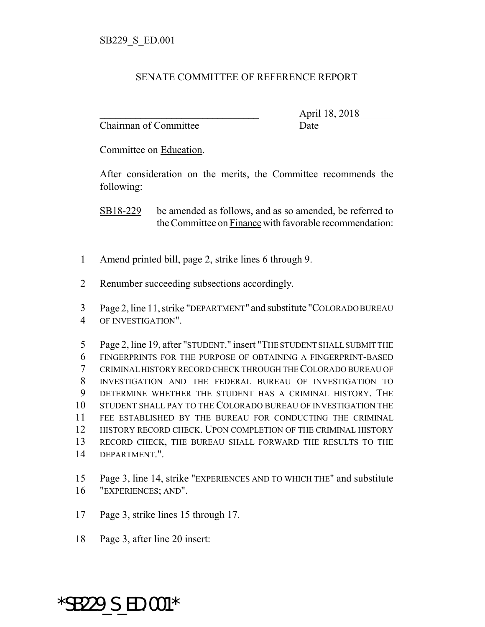## SENATE COMMITTEE OF REFERENCE REPORT

Chairman of Committee Date

\_\_\_\_\_\_\_\_\_\_\_\_\_\_\_\_\_\_\_\_\_\_\_\_\_\_\_\_\_\_\_ April 18, 2018

Committee on Education.

After consideration on the merits, the Committee recommends the following:

SB18-229 be amended as follows, and as so amended, be referred to the Committee on Finance with favorable recommendation:

- Amend printed bill, page 2, strike lines 6 through 9.
- Renumber succeeding subsections accordingly.
- Page 2, line 11, strike "DEPARTMENT" and substitute "COLORADO BUREAU
- OF INVESTIGATION".

 Page 2, line 19, after "STUDENT." insert "THE STUDENT SHALL SUBMIT THE FINGERPRINTS FOR THE PURPOSE OF OBTAINING A FINGERPRINT-BASED CRIMINAL HISTORY RECORD CHECK THROUGH THE COLORADO BUREAU OF INVESTIGATION AND THE FEDERAL BUREAU OF INVESTIGATION TO DETERMINE WHETHER THE STUDENT HAS A CRIMINAL HISTORY. THE STUDENT SHALL PAY TO THE COLORADO BUREAU OF INVESTIGATION THE FEE ESTABLISHED BY THE BUREAU FOR CONDUCTING THE CRIMINAL 12 HISTORY RECORD CHECK. UPON COMPLETION OF THE CRIMINAL HISTORY RECORD CHECK, THE BUREAU SHALL FORWARD THE RESULTS TO THE DEPARTMENT.".

 Page 3, line 14, strike "EXPERIENCES AND TO WHICH THE" and substitute "EXPERIENCES; AND".

- Page 3, strike lines 15 through 17.
- Page 3, after line 20 insert:

\*SB229\_S\_ED.001\*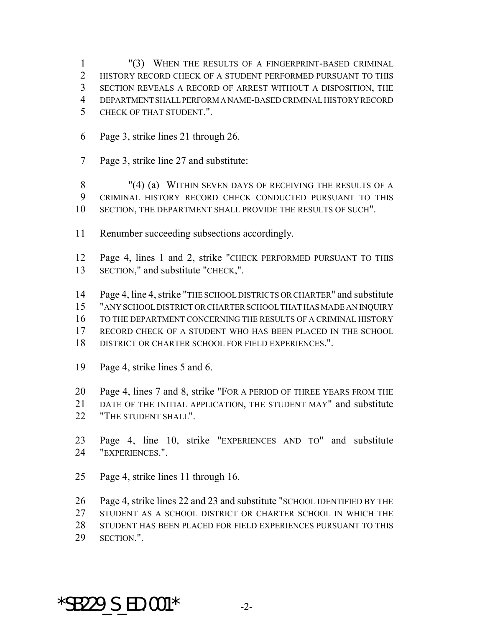"(3) WHEN THE RESULTS OF A FINGERPRINT-BASED CRIMINAL HISTORY RECORD CHECK OF A STUDENT PERFORMED PURSUANT TO THIS SECTION REVEALS A RECORD OF ARREST WITHOUT A DISPOSITION, THE DEPARTMENT SHALL PERFORM A NAME-BASED CRIMINAL HISTORY RECORD CHECK OF THAT STUDENT.".

- Page 3, strike lines 21 through 26.
- Page 3, strike line 27 and substitute:

 "(4) (a) WITHIN SEVEN DAYS OF RECEIVING THE RESULTS OF A CRIMINAL HISTORY RECORD CHECK CONDUCTED PURSUANT TO THIS SECTION, THE DEPARTMENT SHALL PROVIDE THE RESULTS OF SUCH".

- Renumber succeeding subsections accordingly.
- Page 4, lines 1 and 2, strike "CHECK PERFORMED PURSUANT TO THIS SECTION," and substitute "CHECK,".
- Page 4, line 4, strike "THE SCHOOL DISTRICTS OR CHARTER" and substitute "ANY SCHOOL DISTRICT OR CHARTER SCHOOL THAT HAS MADE AN INQUIRY TO THE DEPARTMENT CONCERNING THE RESULTS OF A CRIMINAL HISTORY RECORD CHECK OF A STUDENT WHO HAS BEEN PLACED IN THE SCHOOL DISTRICT OR CHARTER SCHOOL FOR FIELD EXPERIENCES.".
- Page 4, strike lines 5 and 6.
- Page 4, lines 7 and 8, strike "FOR A PERIOD OF THREE YEARS FROM THE
- DATE OF THE INITIAL APPLICATION, THE STUDENT MAY" and substitute **"THE STUDENT SHALL"**.
- Page 4, line 10, strike "EXPERIENCES AND TO" and substitute "EXPERIENCES.".
- Page 4, strike lines 11 through 16.
- Page 4, strike lines 22 and 23 and substitute "SCHOOL IDENTIFIED BY THE STUDENT AS A SCHOOL DISTRICT OR CHARTER SCHOOL IN WHICH THE STUDENT HAS BEEN PLACED FOR FIELD EXPERIENCES PURSUANT TO THIS SECTION.".

## \*SB229 S ED.001\*  $-2$ -